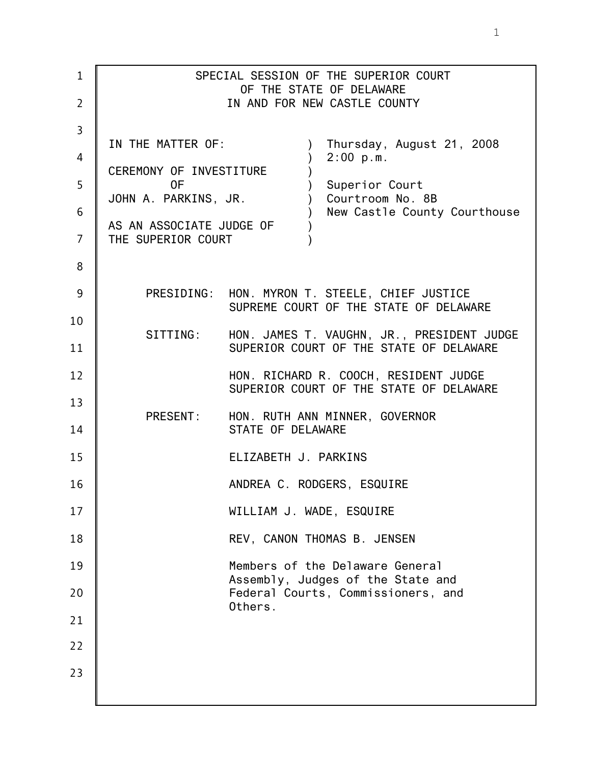| $\mathbf{1}$   |                                                | SPECIAL SESSION OF THE SUPERIOR COURT<br>OF THE STATE OF DELAWARE                        |
|----------------|------------------------------------------------|------------------------------------------------------------------------------------------|
| $\overline{2}$ |                                                | IN AND FOR NEW CASTLE COUNTY                                                             |
| $\overline{3}$ | IN THE MATTER OF:                              |                                                                                          |
| 4              |                                                | Thursday, August 21, 2008<br>2:00 p.m.                                                   |
| 5              | CEREMONY OF INVESTITURE<br>0F                  | Superior Court                                                                           |
| 6              | JOHN A. PARKINS, JR.                           | Courtroom No. 8B<br>New Castle County Courthouse                                         |
| 7              | AS AN ASSOCIATE JUDGE OF<br>THE SUPERIOR COURT |                                                                                          |
| 8              |                                                |                                                                                          |
| 9              |                                                | PRESIDING: HON. MYRON T. STEELE, CHIEF JUSTICE<br>SUPREME COURT OF THE STATE OF DELAWARE |
| 10             | SITTING:                                       | HON. JAMES T. VAUGHN, JR., PRESIDENT JUDGE                                               |
| 11             |                                                | SUPERIOR COURT OF THE STATE OF DELAWARE                                                  |
| 12             |                                                | HON. RICHARD R. COOCH, RESIDENT JUDGE<br>SUPERIOR COURT OF THE STATE OF DELAWARE         |
| 13<br>14       |                                                | PRESENT: HON. RUTH ANN MINNER, GOVERNOR<br>STATE OF DELAWARE                             |
| 15             |                                                | ELIZABETH J. PARKINS                                                                     |
| 16             |                                                | ANDREA C. RODGERS, ESQUIRE                                                               |
| 17             |                                                | WILLIAM J. WADE, ESQUIRE                                                                 |
| 18             |                                                | REV, CANON THOMAS B. JENSEN                                                              |
| 19             |                                                | Members of the Delaware General                                                          |
| 20             |                                                | Assembly, Judges of the State and<br>Federal Courts, Commissioners, and                  |
| 21             |                                                | Others.                                                                                  |
| 22             |                                                |                                                                                          |
| 23             |                                                |                                                                                          |
|                |                                                |                                                                                          |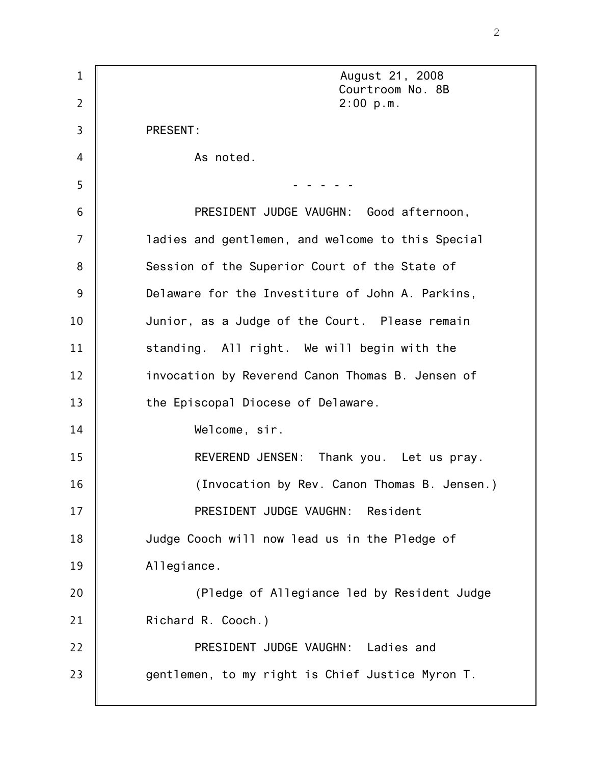1 2 3 4 5 6 7 8 9 10 11 12 13 14 15 16 17 18 19 20 21 22 23 August 21, 2008 Courtroom No. 8B 2:00 p.m. PRESENT: As noted. - - - - - PRESIDENT JUDGE VAUGHN: Good afternoon, ladies and gentlemen, and welcome to this Special Session of the Superior Court of the State of Delaware for the Investiture of John A. Parkins, Junior, as a Judge of the Court. Please remain standing. All right. We will begin with the invocation by Reverend Canon Thomas B. Jensen of the Episcopal Diocese of Delaware. Welcome, sir. REVEREND JENSEN: Thank you. Let us pray. (Invocation by Rev. Canon Thomas B. Jensen.) PRESIDENT JUDGE VAUGHN: Resident Judge Cooch will now lead us in the Pledge of Allegiance. (Pledge of Allegiance led by Resident Judge Richard R. Cooch.) PRESIDENT JUDGE VAUGHN: Ladies and gentlemen, to my right is Chief Justice Myron T.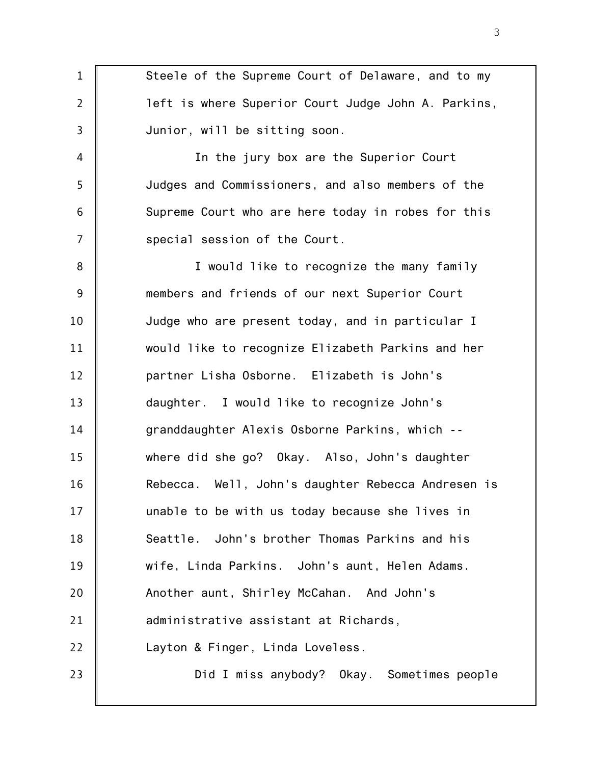1 2 3 4 5 6 7 8 9 10 11 12 13 14 15 16 17 18 19 20 21 22 23 Steele of the Supreme Court of Delaware, and to my left is where Superior Court Judge John A. Parkins, Junior, will be sitting soon. In the jury box are the Superior Court Judges and Commissioners, and also members of the Supreme Court who are here today in robes for this special session of the Court. I would like to recognize the many family members and friends of our next Superior Court Judge who are present today, and in particular I would like to recognize Elizabeth Parkins and her partner Lisha Osborne. Elizabeth is John's daughter. I would like to recognize John's granddaughter Alexis Osborne Parkins, which - where did she go? Okay. Also, John's daughter Rebecca. Well, John's daughter Rebecca Andresen is unable to be with us today because she lives in Seattle. John's brother Thomas Parkins and his wife, Linda Parkins. John's aunt, Helen Adams. Another aunt, Shirley McCahan. And John's administrative assistant at Richards, Layton & Finger, Linda Loveless. Did I miss anybody? Okay. Sometimes people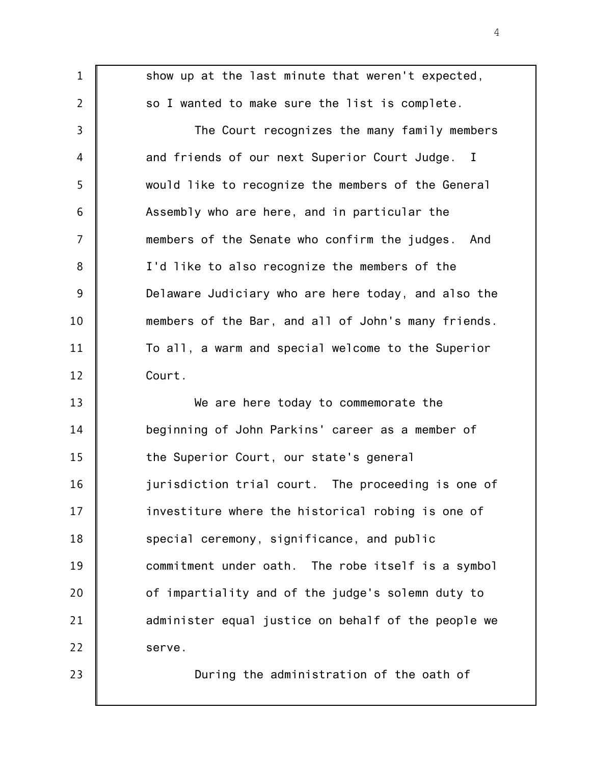1 2 3 4 5 6 7 8 9 10 11 12 13 14 15 16 17 18 19 20 21 22 23 show up at the last minute that weren't expected, so I wanted to make sure the list is complete. The Court recognizes the many family members and friends of our next Superior Court Judge. I would like to recognize the members of the General Assembly who are here, and in particular the members of the Senate who confirm the judges. And I'd like to also recognize the members of the Delaware Judiciary who are here today, and also the members of the Bar, and all of John's many friends. To all, a warm and special welcome to the Superior Court. We are here today to commemorate the beginning of John Parkins' career as a member of the Superior Court, our state's general jurisdiction trial court. The proceeding is one of investiture where the historical robing is one of special ceremony, significance, and public commitment under oath. The robe itself is a symbol of impartiality and of the judge's solemn duty to administer equal justice on behalf of the people we serve. During the administration of the oath of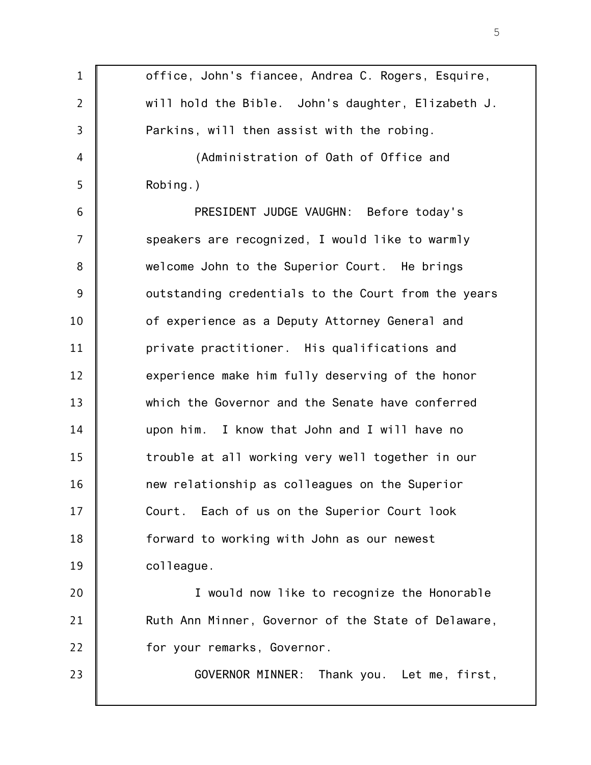| $\mathbf{1}$     | office, John's fiancee, Andrea C. Rogers, Esquire,  |
|------------------|-----------------------------------------------------|
| $\overline{2}$   | will hold the Bible. John's daughter, Elizabeth J.  |
| 3                | Parkins, will then assist with the robing.          |
| 4                | (Administration of Oath of Office and               |
| 5                | Robing.)                                            |
| 6                | PRESIDENT JUDGE VAUGHN: Before today's              |
| $\overline{7}$   | speakers are recognized, I would like to warmly     |
| 8                | welcome John to the Superior Court. He brings       |
| $\boldsymbol{9}$ | outstanding credentials to the Court from the years |
| 10               | of experience as a Deputy Attorney General and      |
| 11               | private practitioner. His qualifications and        |
| 12               | experience make him fully deserving of the honor    |
| 13               | which the Governor and the Senate have conferred    |
| 14               | upon him. I know that John and I will have no       |
| 15               | trouble at all working very well together in our    |
| 16               | new relationship as colleagues on the Superior      |
| 17               | Each of us on the Superior Court look<br>Court.     |
| 18               | forward to working with John as our newest          |
| 19               | colleague.                                          |
| 20               | I would now like to recognize the Honorable         |
| 21               | Ruth Ann Minner, Governor of the State of Delaware, |
| 22               | for your remarks, Governor.                         |
| 23               | GOVERNOR MINNER: Thank you. Let me, first,          |
|                  |                                                     |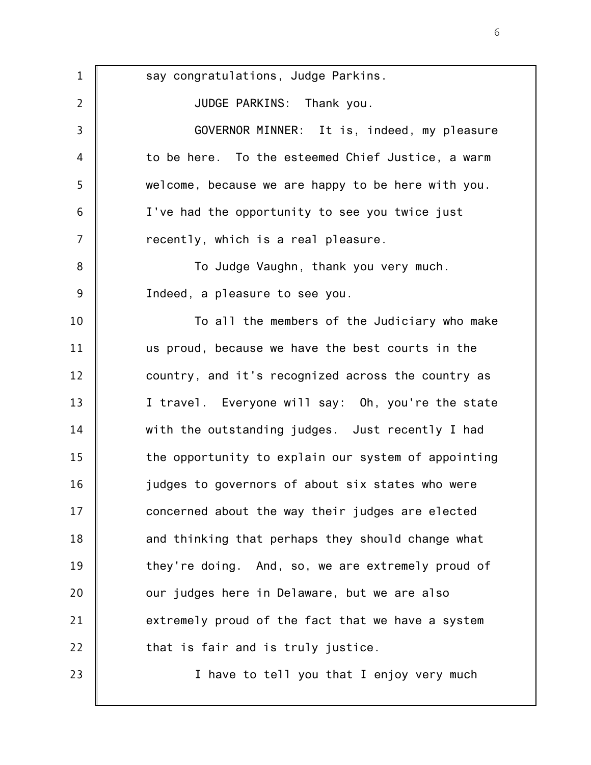1 2 3 4 5 6 7 8 9 10 11 12 13 14 15 16 17 18 19 20 21 22 23 say congratulations, Judge Parkins. JUDGE PARKINS: Thank you. GOVERNOR MINNER: It is, indeed, my pleasure to be here. To the esteemed Chief Justice, a warm welcome, because we are happy to be here with you. I've had the opportunity to see you twice just recently, which is a real pleasure. To Judge Vaughn, thank you very much. Indeed, a pleasure to see you. To all the members of the Judiciary who make us proud, because we have the best courts in the country, and it's recognized across the country as I travel. Everyone will say: Oh, you're the state with the outstanding judges. Just recently I had the opportunity to explain our system of appointing judges to governors of about six states who were concerned about the way their judges are elected and thinking that perhaps they should change what they're doing. And, so, we are extremely proud of our judges here in Delaware, but we are also extremely proud of the fact that we have a system that is fair and is truly justice. I have to tell you that I enjoy very much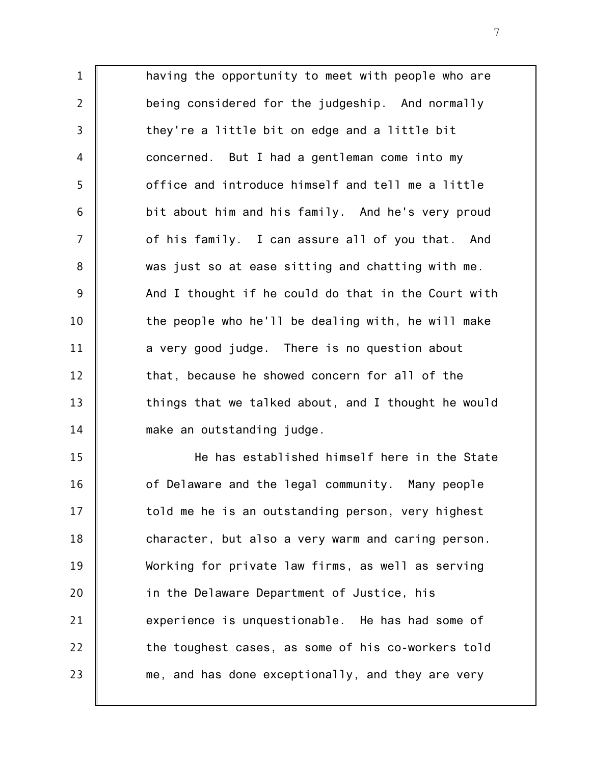1 2 3 4 5 6 7 8 9 10 11 12 13 14 having the opportunity to meet with people who are being considered for the judgeship. And normally they're a little bit on edge and a little bit concerned. But I had a gentleman come into my office and introduce himself and tell me a little bit about him and his family. And he's very proud of his family. I can assure all of you that. And was just so at ease sitting and chatting with me. And I thought if he could do that in the Court with the people who he'll be dealing with, he will make a very good judge. There is no question about that, because he showed concern for all of the things that we talked about, and I thought he would make an outstanding judge.

15 16 17 18 19 20 21 22 23 He has established himself here in the State of Delaware and the legal community. Many people told me he is an outstanding person, very highest character, but also a very warm and caring person. Working for private law firms, as well as serving in the Delaware Department of Justice, his experience is unquestionable. He has had some of the toughest cases, as some of his co-workers told me, and has done exceptionally, and they are very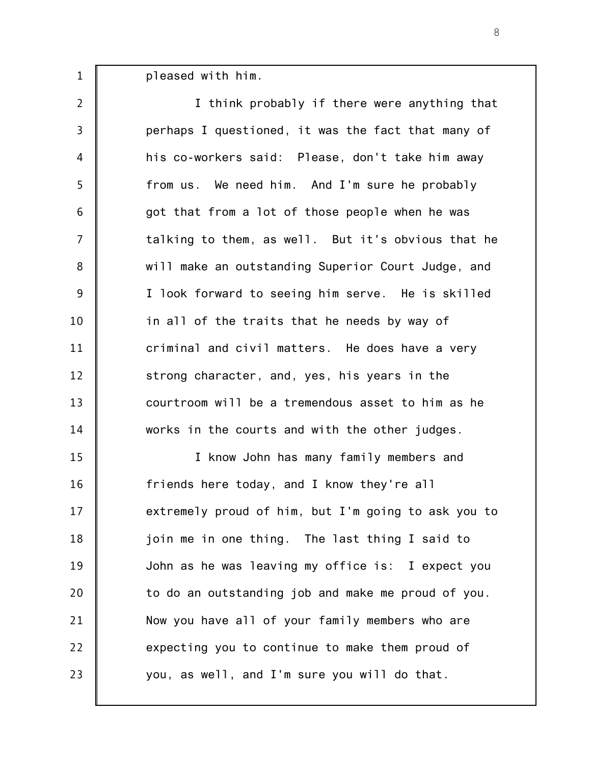pleased with him.

1

2 3 4 5 6 7 8 9 10 11 12 13 14 I think probably if there were anything that perhaps I questioned, it was the fact that many of his co-workers said: Please, don't take him away from us. We need him. And I'm sure he probably got that from a lot of those people when he was talking to them, as well. But it's obvious that he will make an outstanding Superior Court Judge, and I look forward to seeing him serve. He is skilled in all of the traits that he needs by way of criminal and civil matters. He does have a very strong character, and, yes, his years in the courtroom will be a tremendous asset to him as he works in the courts and with the other judges.

15 16 17 18 19 20 21 22 23 I know John has many family members and friends here today, and I know they're all extremely proud of him, but I'm going to ask you to join me in one thing. The last thing I said to John as he was leaving my office is: I expect you to do an outstanding job and make me proud of you. Now you have all of your family members who are expecting you to continue to make them proud of you, as well, and I'm sure you will do that.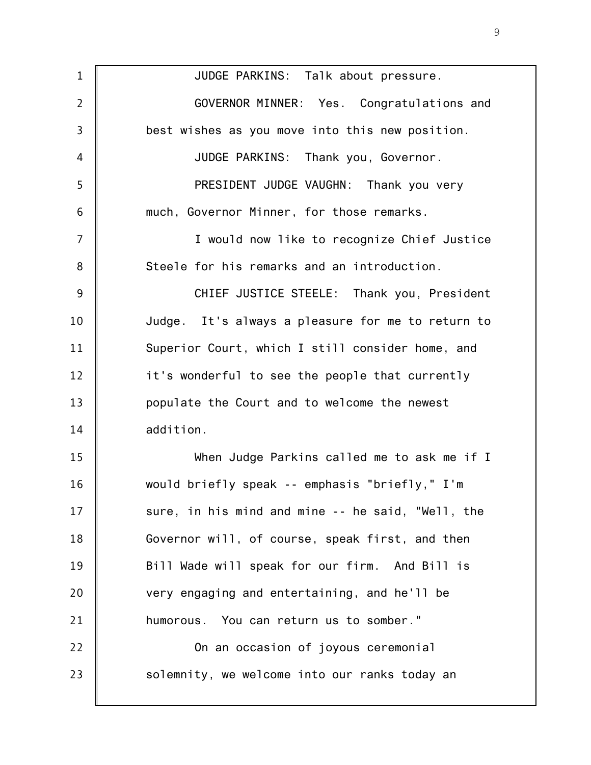1 2 3 4 5 6 7 8 9 10 11 12 13 14 15 16 17 18 19 20 21 22 23 JUDGE PARKINS: Talk about pressure. GOVERNOR MINNER: Yes. Congratulations and best wishes as you move into this new position. JUDGE PARKINS: Thank you, Governor. PRESIDENT JUDGE VAUGHN: Thank you very much, Governor Minner, for those remarks. I would now like to recognize Chief Justice Steele for his remarks and an introduction. CHIEF JUSTICE STEELE: Thank you, President Judge. It's always a pleasure for me to return to Superior Court, which I still consider home, and it's wonderful to see the people that currently populate the Court and to welcome the newest addition. When Judge Parkins called me to ask me if I would briefly speak -- emphasis "briefly," I'm sure, in his mind and mine -- he said, "Well, the Governor will, of course, speak first, and then Bill Wade will speak for our firm. And Bill is very engaging and entertaining, and he'll be humorous. You can return us to somber." On an occasion of joyous ceremonial solemnity, we welcome into our ranks today an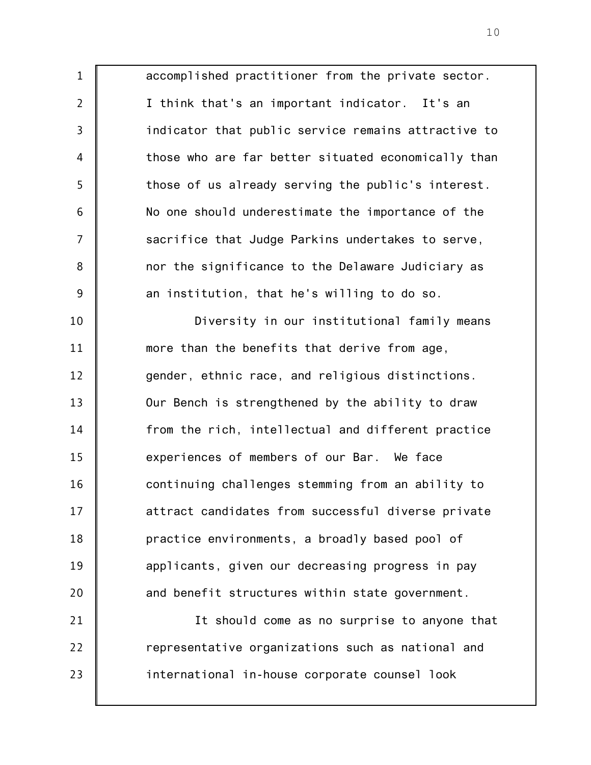accomplished practitioner from the private sector. I think that's an important indicator. It's an indicator that public service remains attractive to those who are far better situated economically than those of us already serving the public's interest. No one should underestimate the importance of the sacrifice that Judge Parkins undertakes to serve, nor the significance to the Delaware Judiciary as an institution, that he's willing to do so.

1

2

3

4

5

6

7

8

9

10 11 12 13 14 15 16 17 18 19 20 Diversity in our institutional family means more than the benefits that derive from age, gender, ethnic race, and religious distinctions. Our Bench is strengthened by the ability to draw from the rich, intellectual and different practice experiences of members of our Bar. We face continuing challenges stemming from an ability to attract candidates from successful diverse private practice environments, a broadly based pool of applicants, given our decreasing progress in pay and benefit structures within state government.

21 22 23 It should come as no surprise to anyone that representative organizations such as national and international in-house corporate counsel look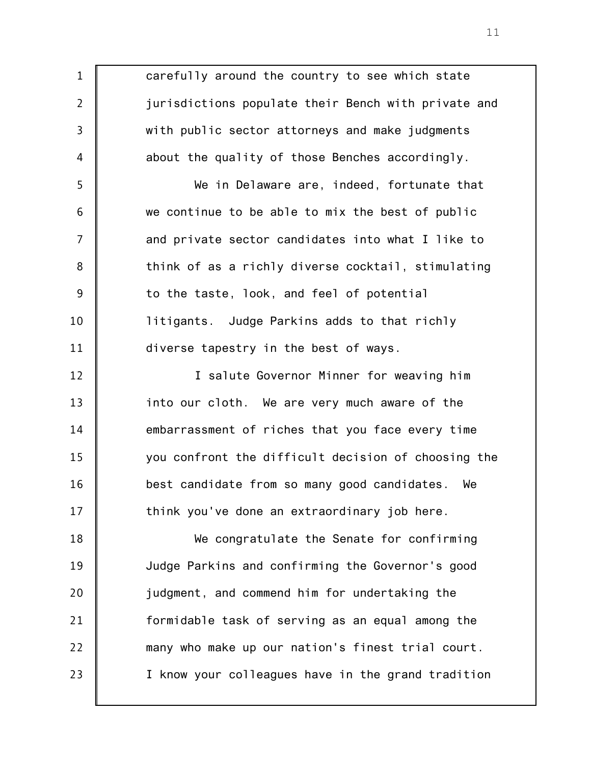1 2 3 4 5 6 7 8 9 10 11 12 13 14 15 16 17 18 19 20 21 22 23 carefully around the country to see which state jurisdictions populate their Bench with private and with public sector attorneys and make judgments about the quality of those Benches accordingly. We in Delaware are, indeed, fortunate that we continue to be able to mix the best of public and private sector candidates into what I like to think of as a richly diverse cocktail, stimulating to the taste, look, and feel of potential litigants. Judge Parkins adds to that richly diverse tapestry in the best of ways. I salute Governor Minner for weaving him into our cloth. We are very much aware of the embarrassment of riches that you face every time you confront the difficult decision of choosing the best candidate from so many good candidates. We think you've done an extraordinary job here. We congratulate the Senate for confirming Judge Parkins and confirming the Governor's good judgment, and commend him for undertaking the formidable task of serving as an equal among the many who make up our nation's finest trial court. I know your colleagues have in the grand tradition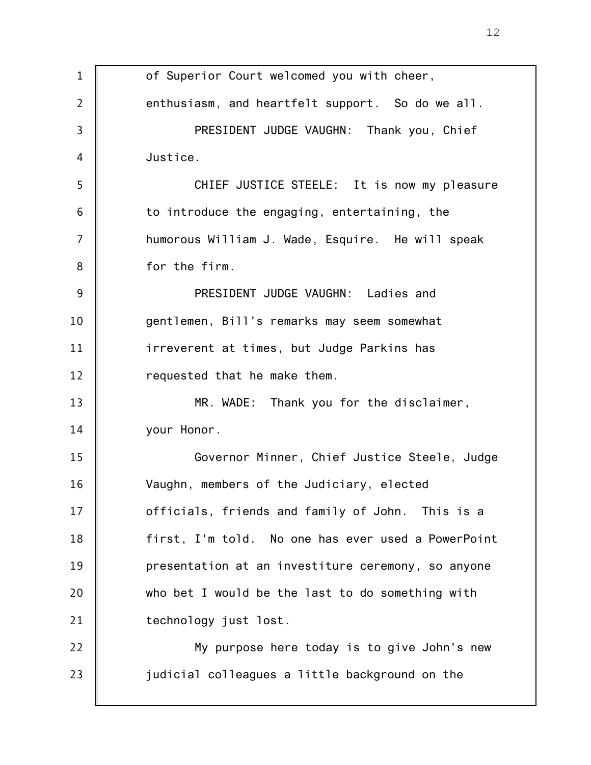1 2 3 4 5 6 7 8 9 10 11 12 13 14 15 16 17 18 19 20 21 22 23 of Superior Court welcomed you with cheer, enthusiasm, and heartfelt support. So do we all. PRESIDENT JUDGE VAUGHN: Thank you, Chief Justice. CHIEF JUSTICE STEELE: It is now my pleasure to introduce the engaging, entertaining, the humorous William J. Wade, Esquire. He will speak for the firm. PRESIDENT JUDGE VAUGHN: Ladies and gentlemen, Bill's remarks may seem somewhat irreverent at times, but Judge Parkins has requested that he make them. MR. WADE: Thank you for the disclaimer, your Honor. Governor Minner, Chief Justice Steele, Judge Vaughn, members of the Judiciary, elected officials, friends and family of John. This is a first, I'm told. No one has ever used a PowerPoint presentation at an investiture ceremony, so anyone who bet I would be the last to do something with technology just lost. My purpose here today is to give John's new judicial colleagues a little background on the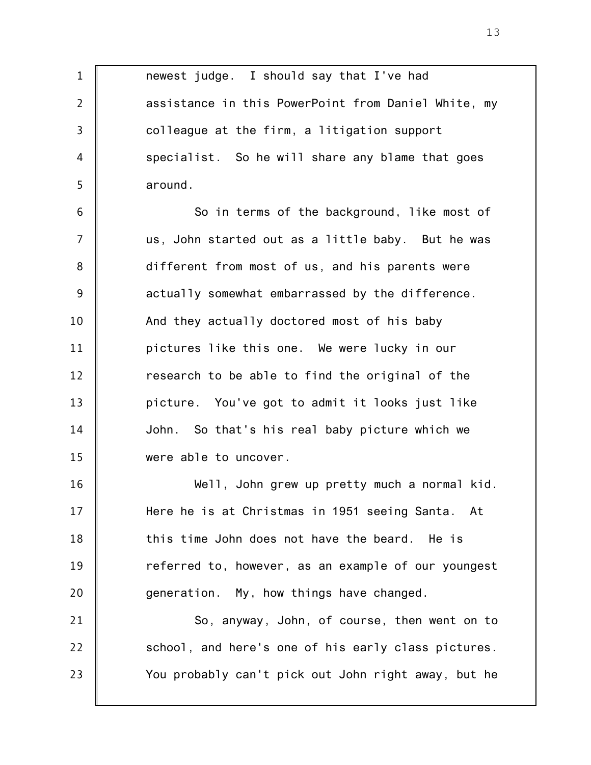newest judge. I should say that I've had assistance in this PowerPoint from Daniel White, my colleague at the firm, a litigation support specialist. So he will share any blame that goes around.

1

2

3

4

5

6 7 8 9 10 11 12 13 14 15 So in terms of the background, like most of us, John started out as a little baby. But he was different from most of us, and his parents were actually somewhat embarrassed by the difference. And they actually doctored most of his baby pictures like this one. We were lucky in our research to be able to find the original of the picture. You've got to admit it looks just like John. So that's his real baby picture which we were able to uncover.

16 17 18 19 20 Well, John grew up pretty much a normal kid. Here he is at Christmas in 1951 seeing Santa. At this time John does not have the beard. He is referred to, however, as an example of our youngest generation. My, how things have changed.

21 22 23 So, anyway, John, of course, then went on to school, and here's one of his early class pictures. You probably can't pick out John right away, but he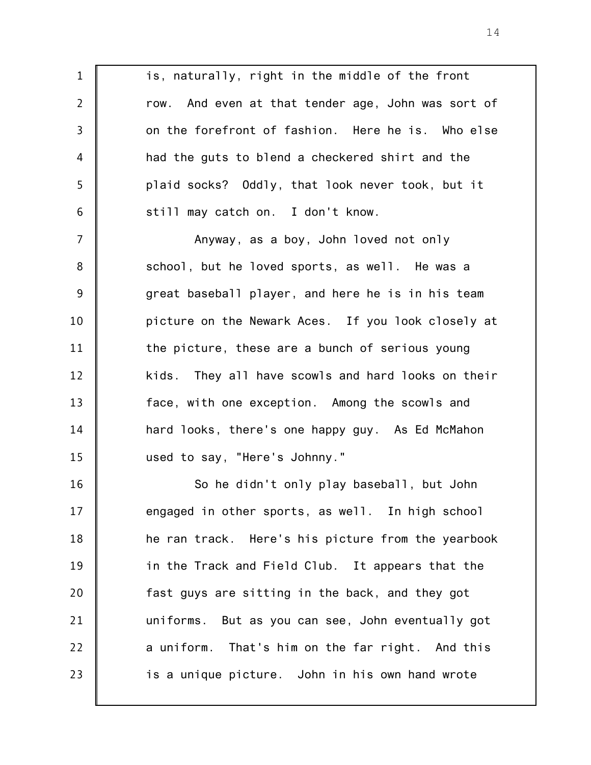1 2 3 4 5 6 7 8 9 10 11 12 13 14 15 16 17 18 19 20 21 22 is, naturally, right in the middle of the front row. And even at that tender age, John was sort of on the forefront of fashion. Here he is. Who else had the guts to blend a checkered shirt and the plaid socks? Oddly, that look never took, but it still may catch on. I don't know. Anyway, as a boy, John loved not only school, but he loved sports, as well. He was a great baseball player, and here he is in his team picture on the Newark Aces. If you look closely at the picture, these are a bunch of serious young kids. They all have scowls and hard looks on their face, with one exception. Among the scowls and hard looks, there's one happy guy. As Ed McMahon used to say, "Here's Johnny." So he didn't only play baseball, but John engaged in other sports, as well. In high school he ran track. Here's his picture from the yearbook in the Track and Field Club. It appears that the fast guys are sitting in the back, and they got uniforms. But as you can see, John eventually got a uniform. That's him on the far right. And this

is a unique picture. John in his own hand wrote

23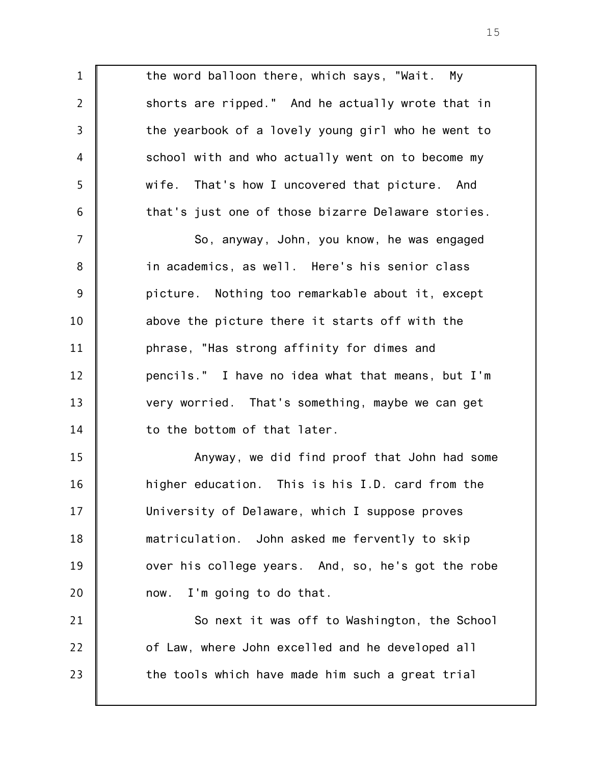1 2 3 4 5 6 7 8 9 10 11 12 13 14 15 16 17 18 19 20 21 22 23 the word balloon there, which says, "Wait. My shorts are ripped." And he actually wrote that in the yearbook of a lovely young girl who he went to school with and who actually went on to become my wife. That's how I uncovered that picture. And that's just one of those bizarre Delaware stories. So, anyway, John, you know, he was engaged in academics, as well. Here's his senior class picture. Nothing too remarkable about it, except above the picture there it starts off with the phrase, "Has strong affinity for dimes and pencils." I have no idea what that means, but I'm very worried. That's something, maybe we can get to the bottom of that later. Anyway, we did find proof that John had some higher education. This is his I.D. card from the University of Delaware, which I suppose proves matriculation. John asked me fervently to skip over his college years. And, so, he's got the robe now. I'm going to do that. So next it was off to Washington, the School of Law, where John excelled and he developed all the tools which have made him such a great trial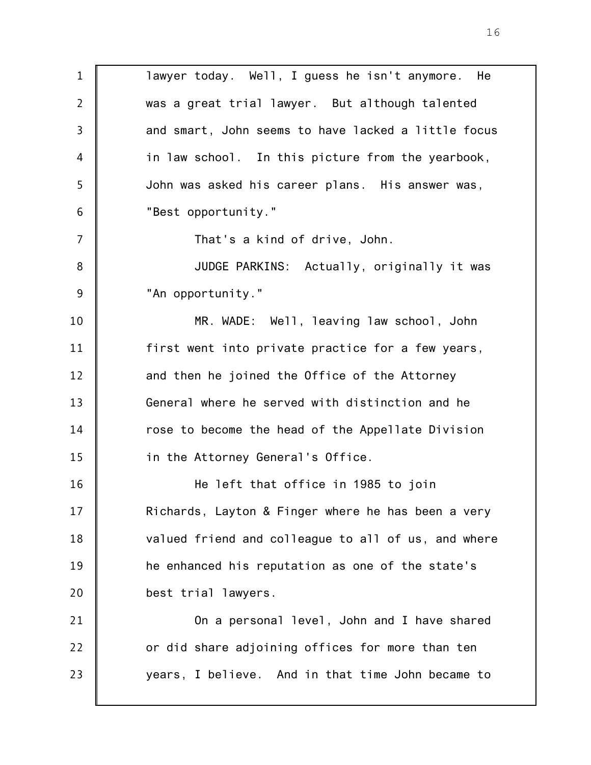1 2 3 4 5 6 7 8 9 10 11 12 13 14 15 16 17 18 19 20 21 22 23 lawyer today. Well, I guess he isn't anymore. He was a great trial lawyer. But although talented and smart, John seems to have lacked a little focus in law school. In this picture from the yearbook, John was asked his career plans. His answer was, "Best opportunity." That's a kind of drive, John. JUDGE PARKINS: Actually, originally it was "An opportunity." MR. WADE: Well, leaving law school, John first went into private practice for a few years, and then he joined the Office of the Attorney General where he served with distinction and he rose to become the head of the Appellate Division in the Attorney General's Office. He left that office in 1985 to join Richards, Layton & Finger where he has been a very valued friend and colleague to all of us, and where he enhanced his reputation as one of the state's best trial lawyers. On a personal level, John and I have shared or did share adjoining offices for more than ten years, I believe. And in that time John became to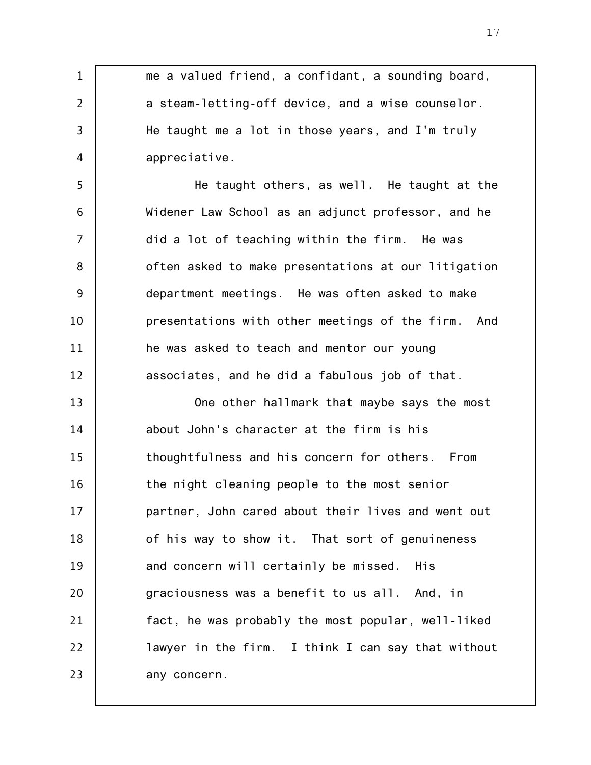1 2 3 4 5 6 7 8 9 10 11 12 13 14 15 16 17 18 19 20 21 22 23 me a valued friend, a confidant, a sounding board, a steam-letting-off device, and a wise counselor. He taught me a lot in those years, and I'm truly appreciative. He taught others, as well. He taught at the Widener Law School as an adjunct professor, and he did a lot of teaching within the firm. He was often asked to make presentations at our litigation department meetings. He was often asked to make presentations with other meetings of the firm. And he was asked to teach and mentor our young associates, and he did a fabulous job of that. One other hallmark that maybe says the most about John's character at the firm is his thoughtfulness and his concern for others. From the night cleaning people to the most senior partner, John cared about their lives and went out of his way to show it. That sort of genuineness and concern will certainly be missed. His graciousness was a benefit to us all. And, in fact, he was probably the most popular, well-liked lawyer in the firm. I think I can say that without any concern.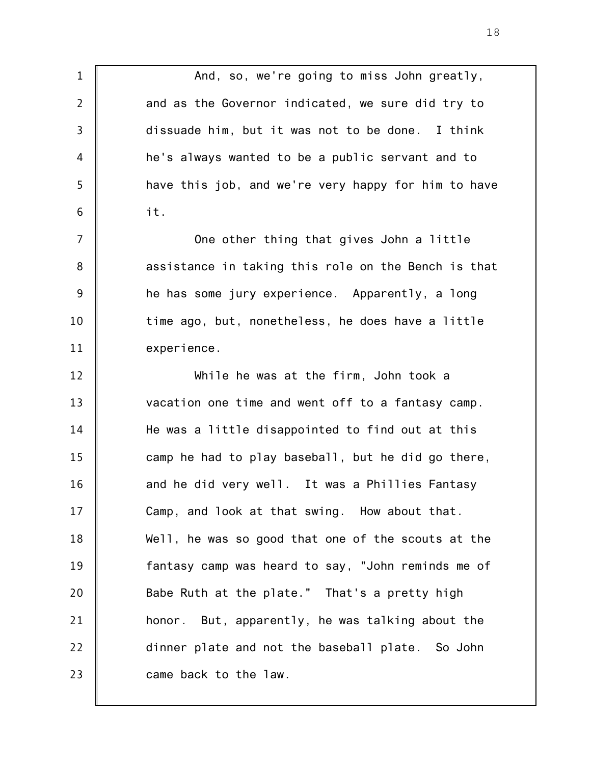1 2 3 4 5 6 7 8 9 10 11 12 13 14 15 16 17 18 19 20 21 22 23 And, so, we're going to miss John greatly, and as the Governor indicated, we sure did try to dissuade him, but it was not to be done. I think he's always wanted to be a public servant and to have this job, and we're very happy for him to have it. One other thing that gives John a little assistance in taking this role on the Bench is that he has some jury experience. Apparently, a long time ago, but, nonetheless, he does have a little experience. While he was at the firm, John took a vacation one time and went off to a fantasy camp. He was a little disappointed to find out at this camp he had to play baseball, but he did go there, and he did very well. It was a Phillies Fantasy Camp, and look at that swing. How about that. Well, he was so good that one of the scouts at the fantasy camp was heard to say, "John reminds me of Babe Ruth at the plate." That's a pretty high honor. But, apparently, he was talking about the dinner plate and not the baseball plate. So John came back to the law.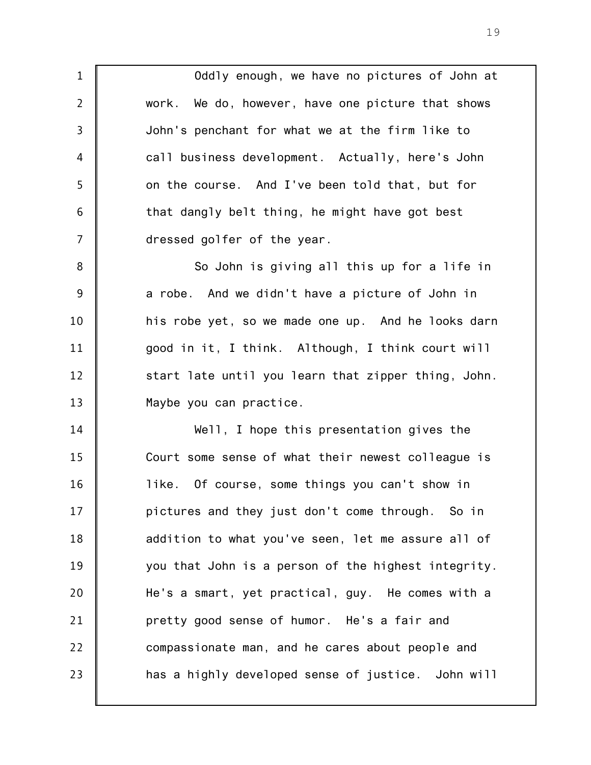Oddly enough, we have no pictures of John at work. We do, however, have one picture that shows John's penchant for what we at the firm like to call business development. Actually, here's John on the course. And I've been told that, but for that dangly belt thing, he might have got best dressed golfer of the year.

1

2

3

4

5

6

7

8 9 10 11 12 13 So John is giving all this up for a life in a robe. And we didn't have a picture of John in his robe yet, so we made one up. And he looks darn good in it, I think. Although, I think court will start late until you learn that zipper thing, John. Maybe you can practice.

14 15 16 17 18 19 20 21 22 23 Well, I hope this presentation gives the Court some sense of what their newest colleague is like. Of course, some things you can't show in pictures and they just don't come through. So in addition to what you've seen, let me assure all of you that John is a person of the highest integrity. He's a smart, yet practical, guy. He comes with a pretty good sense of humor. He's a fair and compassionate man, and he cares about people and has a highly developed sense of justice. John will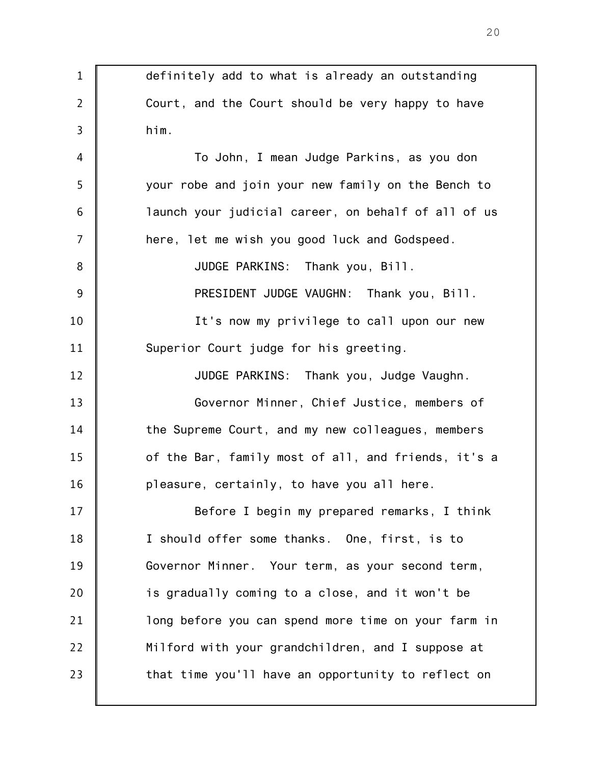1 2 3 4 5 6 7 8 9 10 11 12 13 14 15 16 17 18 19 20 21 22 23 definitely add to what is already an outstanding Court, and the Court should be very happy to have him. To John, I mean Judge Parkins, as you don your robe and join your new family on the Bench to launch your judicial career, on behalf of all of us here, let me wish you good luck and Godspeed. JUDGE PARKINS: Thank you, Bill. PRESIDENT JUDGE VAUGHN: Thank you, Bill. It's now my privilege to call upon our new Superior Court judge for his greeting. JUDGE PARKINS: Thank you, Judge Vaughn. Governor Minner, Chief Justice, members of the Supreme Court, and my new colleagues, members of the Bar, family most of all, and friends, it's a pleasure, certainly, to have you all here. Before I begin my prepared remarks, I think I should offer some thanks. One, first, is to Governor Minner. Your term, as your second term, is gradually coming to a close, and it won't be long before you can spend more time on your farm in Milford with your grandchildren, and I suppose at that time you'll have an opportunity to reflect on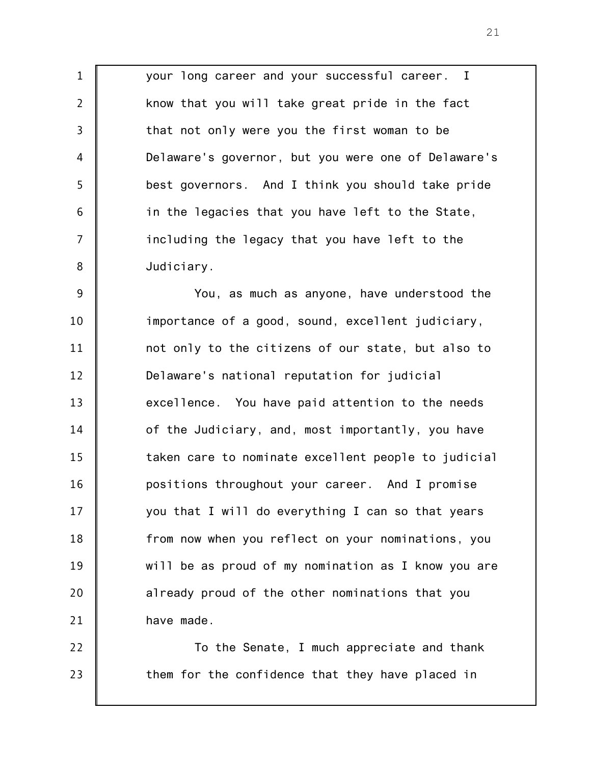your long career and your successful career. I know that you will take great pride in the fact that not only were you the first woman to be Delaware's governor, but you were one of Delaware's best governors. And I think you should take pride in the legacies that you have left to the State, including the legacy that you have left to the Judiciary.

1

2

3

4

5

6

7

8

22

23

9 10 11 12 13 14 15 16 17 18 19 20 21 You, as much as anyone, have understood the importance of a good, sound, excellent judiciary, not only to the citizens of our state, but also to Delaware's national reputation for judicial excellence. You have paid attention to the needs of the Judiciary, and, most importantly, you have taken care to nominate excellent people to judicial positions throughout your career. And I promise you that I will do everything I can so that years from now when you reflect on your nominations, you will be as proud of my nomination as I know you are already proud of the other nominations that you have made.

To the Senate, I much appreciate and thank them for the confidence that they have placed in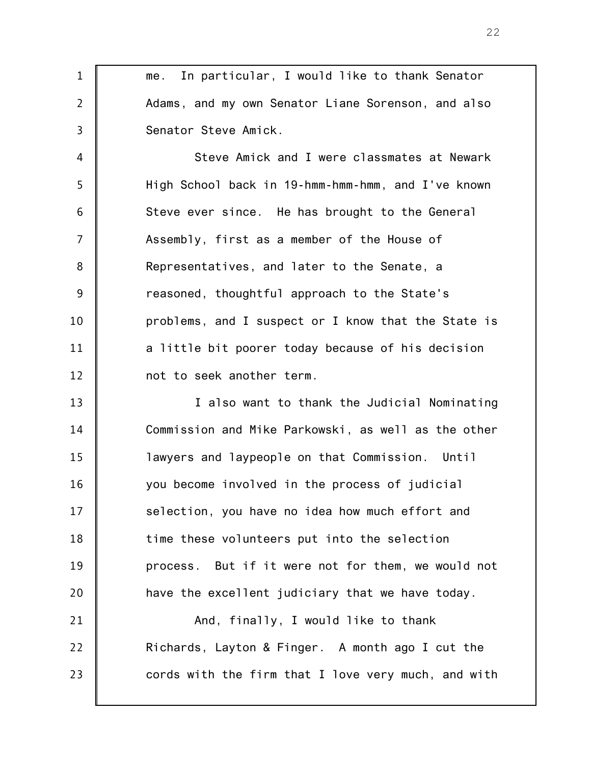1 2 3 4 5 6 7 8 9 10 11 12 13 14 15 16 17 18 19 20 21 22 23 me. In particular, I would like to thank Senator Adams, and my own Senator Liane Sorenson, and also Senator Steve Amick. Steve Amick and I were classmates at Newark High School back in 19-hmm-hmm-hmm, and I've known Steve ever since. He has brought to the General Assembly, first as a member of the House of Representatives, and later to the Senate, a reasoned, thoughtful approach to the State's problems, and I suspect or I know that the State is a little bit poorer today because of his decision not to seek another term. I also want to thank the Judicial Nominating Commission and Mike Parkowski, as well as the other lawyers and laypeople on that Commission. Until you become involved in the process of judicial selection, you have no idea how much effort and time these volunteers put into the selection process. But if it were not for them, we would not have the excellent judiciary that we have today. And, finally, I would like to thank Richards, Layton & Finger. A month ago I cut the cords with the firm that I love very much, and with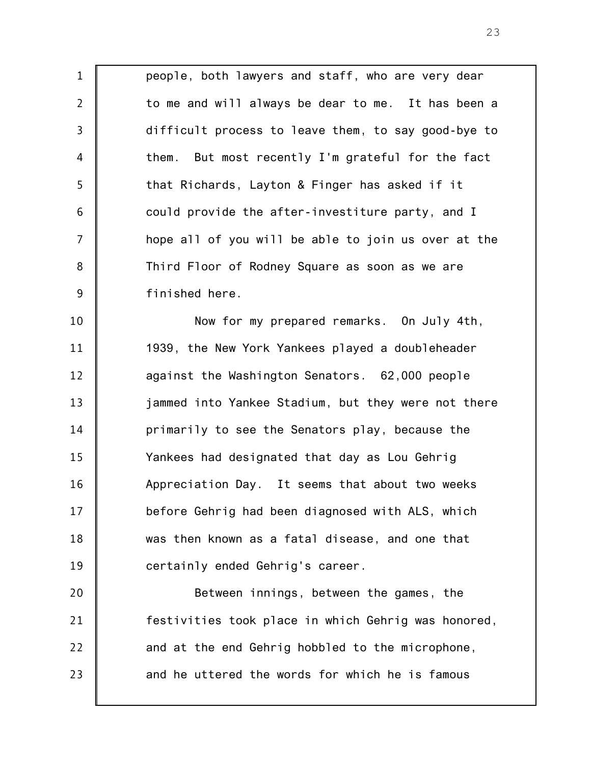1 2 3 4 5 6 7 8 9 10 people, both lawyers and staff, who are very dear to me and will always be dear to me. It has been a difficult process to leave them, to say good-bye to them. But most recently I'm grateful for the fact that Richards, Layton & Finger has asked if it could provide the after-investiture party, and I hope all of you will be able to join us over at the Third Floor of Rodney Square as soon as we are finished here. Now for my prepared remarks. On July 4th,

11 12 13 14 15 16 17 18 19 1939, the New York Yankees played a doubleheader against the Washington Senators. 62,000 people jammed into Yankee Stadium, but they were not there primarily to see the Senators play, because the Yankees had designated that day as Lou Gehrig Appreciation Day. It seems that about two weeks before Gehrig had been diagnosed with ALS, which was then known as a fatal disease, and one that certainly ended Gehrig's career.

20 21 22 23 Between innings, between the games, the festivities took place in which Gehrig was honored, and at the end Gehrig hobbled to the microphone, and he uttered the words for which he is famous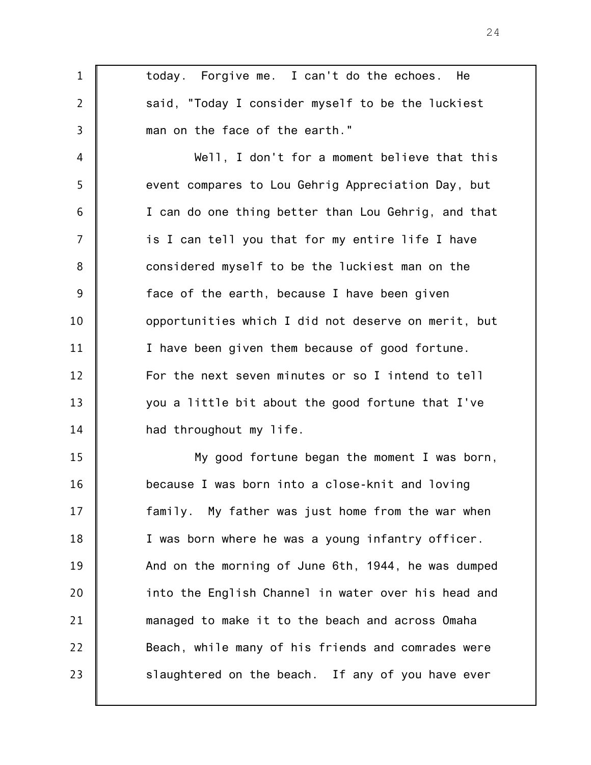1 2 3 4 5 6 7 8 9 10 11 12 13 14 15 16 17 18 19 20 21 22 23 today. Forgive me. I can't do the echoes. He said, "Today I consider myself to be the luckiest man on the face of the earth." Well, I don't for a moment believe that this event compares to Lou Gehrig Appreciation Day, but I can do one thing better than Lou Gehrig, and that is I can tell you that for my entire life I have considered myself to be the luckiest man on the face of the earth, because I have been given opportunities which I did not deserve on merit, but I have been given them because of good fortune. For the next seven minutes or so I intend to tell you a little bit about the good fortune that I've had throughout my life. My good fortune began the moment I was born, because I was born into a close-knit and loving family. My father was just home from the war when I was born where he was a young infantry officer. And on the morning of June 6th, 1944, he was dumped into the English Channel in water over his head and managed to make it to the beach and across Omaha Beach, while many of his friends and comrades were slaughtered on the beach. If any of you have ever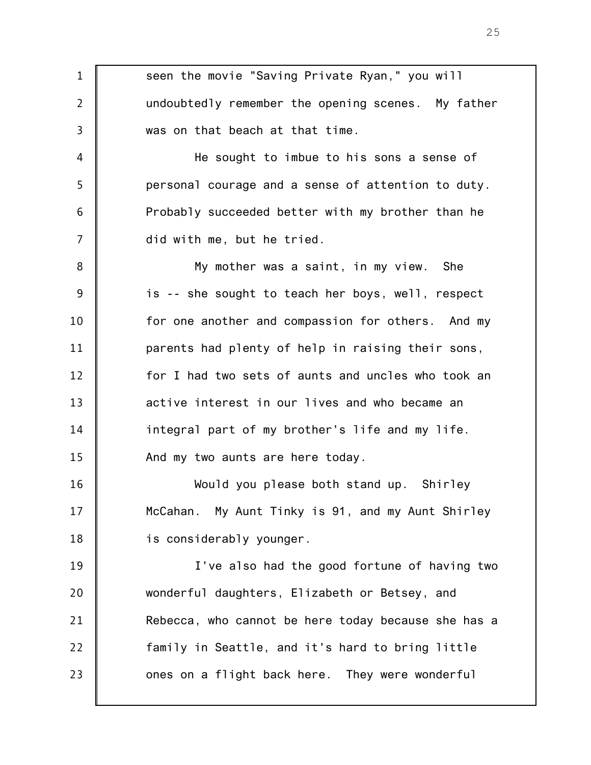1 2 3 4 5 6 7 8 9 10 11 12 13 14 15 16 17 18 19 20 21 22 23 seen the movie "Saving Private Ryan," you will undoubtedly remember the opening scenes. My father was on that beach at that time. He sought to imbue to his sons a sense of personal courage and a sense of attention to duty. Probably succeeded better with my brother than he did with me, but he tried. My mother was a saint, in my view. She is -- she sought to teach her boys, well, respect for one another and compassion for others. And my parents had plenty of help in raising their sons, for I had two sets of aunts and uncles who took an active interest in our lives and who became an integral part of my brother's life and my life. And my two aunts are here today. Would you please both stand up. Shirley McCahan. My Aunt Tinky is 91, and my Aunt Shirley is considerably younger. I've also had the good fortune of having two wonderful daughters, Elizabeth or Betsey, and Rebecca, who cannot be here today because she has a family in Seattle, and it's hard to bring little ones on a flight back here. They were wonderful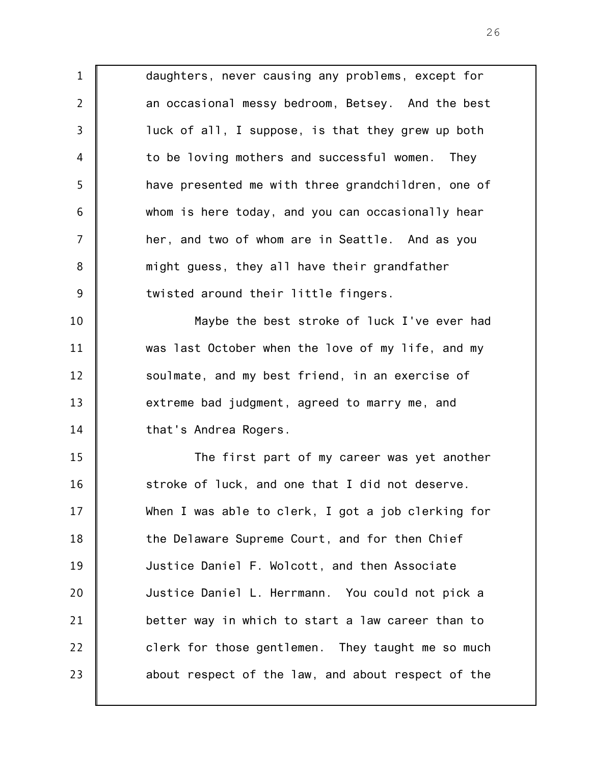1 2 3 4 5 6 7 8 9 10 11 12 13 14 15 16 17 daughters, never causing any problems, except for an occasional messy bedroom, Betsey. And the best luck of all, I suppose, is that they grew up both to be loving mothers and successful women. They have presented me with three grandchildren, one of whom is here today, and you can occasionally hear her, and two of whom are in Seattle. And as you might guess, they all have their grandfather twisted around their little fingers. Maybe the best stroke of luck I've ever had was last October when the love of my life, and my soulmate, and my best friend, in an exercise of extreme bad judgment, agreed to marry me, and that's Andrea Rogers. The first part of my career was yet another stroke of luck, and one that I did not deserve.

18 19 20 21 22 23 When I was able to clerk, I got a job clerking for the Delaware Supreme Court, and for then Chief Justice Daniel F. Wolcott, and then Associate Justice Daniel L. Herrmann. You could not pick a better way in which to start a law career than to clerk for those gentlemen. They taught me so much about respect of the law, and about respect of the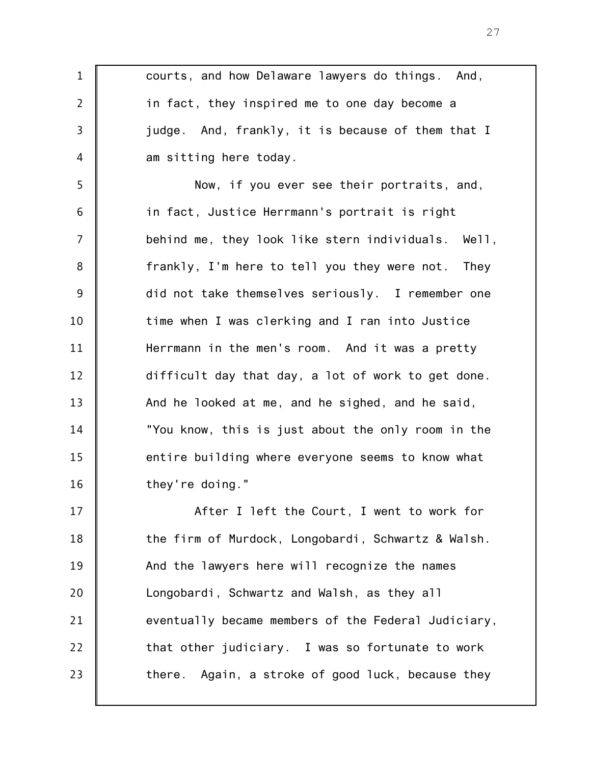| $\mathbf 1$    | courts, and how Delaware lawyers do things. And,    |
|----------------|-----------------------------------------------------|
| $\overline{2}$ | in fact, they inspired me to one day become a       |
| 3              | judge. And, frankly, it is because of them that I   |
| 4              | am sitting here today.                              |
| 5              | Now, if you ever see their portraits, and,          |
| 6              | in fact, Justice Herrmann's portrait is right       |
| $\overline{7}$ | behind me, they look like stern individuals. Well,  |
| 8              | frankly, I'm here to tell you they were not. They   |
| $9$            | did not take themselves seriously. I remember one   |
| 10             | time when I was clerking and I ran into Justice     |
| 11             | Herrmann in the men's room. And it was a pretty     |
| 12             | difficult day that day, a lot of work to get done.  |
| 13             | And he looked at me, and he sighed, and he said,    |
| 14             | "You know, this is just about the only room in the  |
| 15             | entire building where everyone seems to know what   |
| 16             | they're doing."                                     |
| 17             | After I left the Court, I went to work for          |
| 18             | the firm of Murdock, Longobardi, Schwartz & Walsh.  |
| 19             | And the lawyers here will recognize the names       |
| 20             | Longobardi, Schwartz and Walsh, as they all         |
| 21             | eventually became members of the Federal Judiciary, |
| 22             | that other judiciary. I was so fortunate to work    |
| 23             | there. Again, a stroke of good luck, because they   |
|                |                                                     |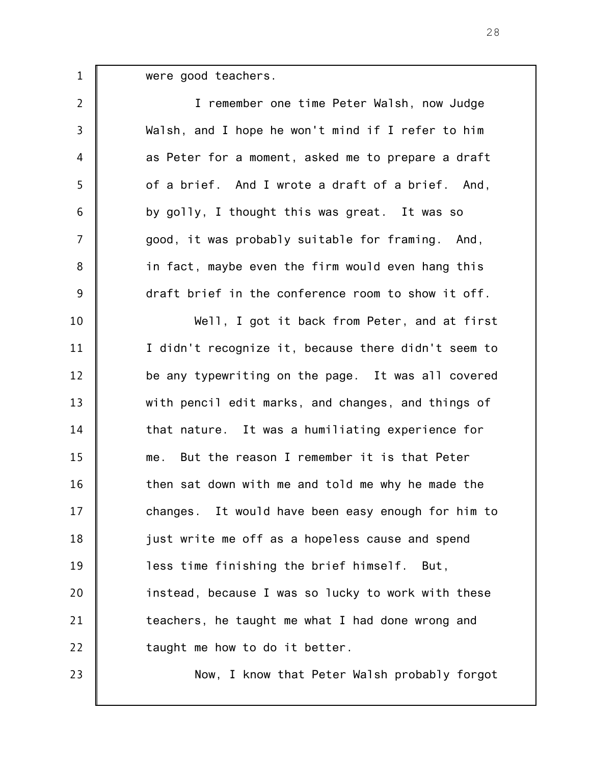were good teachers.

1

23

| I remember one time Peter Walsh, now Judge          |
|-----------------------------------------------------|
| Walsh, and I hope he won't mind if I refer to him   |
| as Peter for a moment, asked me to prepare a draft  |
| of a brief. And I wrote a draft of a brief. And,    |
| by golly, I thought this was great. It was so       |
| good, it was probably suitable for framing. And,    |
| in fact, maybe even the firm would even hang this   |
| draft brief in the conference room to show it off.  |
| Well, I got it back from Peter, and at first        |
| I didn't recognize it, because there didn't seem to |
| be any typewriting on the page. It was all covered  |
| with pencil edit marks, and changes, and things of  |
| that nature. It was a humiliating experience for    |
| me. But the reason I remember it is that Peter      |
| then sat down with me and told me why he made the   |
| changes. It would have been easy enough for him to  |
| just write me off as a hopeless cause and spend     |
| less time finishing the brief himself. But,         |
| instead, because I was so lucky to work with these  |
| teachers, he taught me what I had done wrong and    |
| taught me how to do it better.                      |
|                                                     |

Now, I know that Peter Walsh probably forgot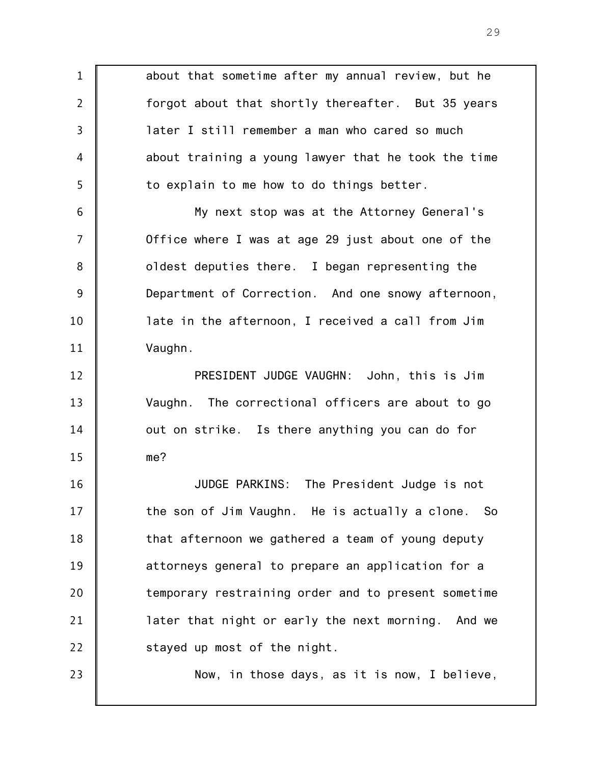1 2 3 4 5 6 7 8 9 10 11 12 13 14 15 16 17 18 19 20 21 22 23 about that sometime after my annual review, but he forgot about that shortly thereafter. But 35 years later I still remember a man who cared so much about training a young lawyer that he took the time to explain to me how to do things better. My next stop was at the Attorney General's Office where I was at age 29 just about one of the oldest deputies there. I began representing the Department of Correction. And one snowy afternoon, late in the afternoon, I received a call from Jim Vaughn. PRESIDENT JUDGE VAUGHN: John, this is Jim Vaughn. The correctional officers are about to go out on strike. Is there anything you can do for me? JUDGE PARKINS: The President Judge is not the son of Jim Vaughn. He is actually a clone. So that afternoon we gathered a team of young deputy attorneys general to prepare an application for a temporary restraining order and to present sometime later that night or early the next morning. And we stayed up most of the night. Now, in those days, as it is now, I believe,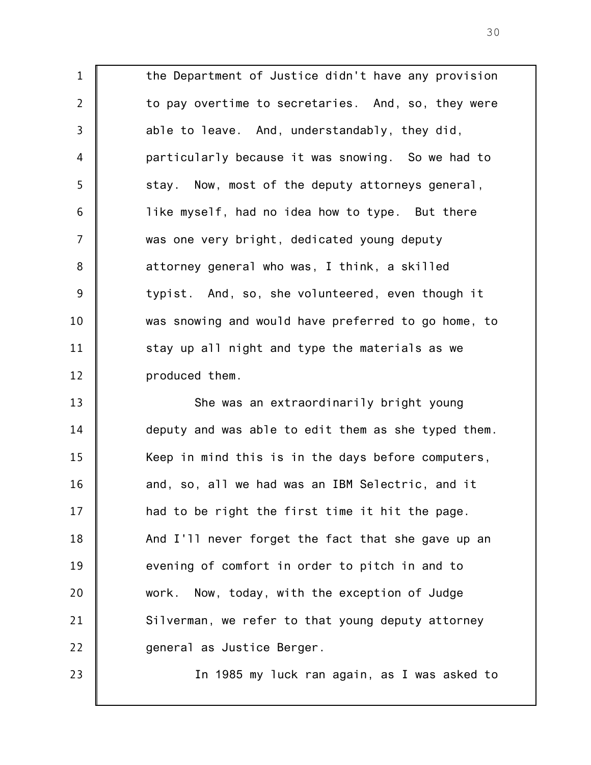1 2 3 4 5 6 7 8 9 10 11 12 the Department of Justice didn't have any provision to pay overtime to secretaries. And, so, they were able to leave. And, understandably, they did, particularly because it was snowing. So we had to stay. Now, most of the deputy attorneys general, like myself, had no idea how to type. But there was one very bright, dedicated young deputy attorney general who was, I think, a skilled typist. And, so, she volunteered, even though it was snowing and would have preferred to go home, to stay up all night and type the materials as we produced them.

13 14 15 16 17 18 19 20 21 22 She was an extraordinarily bright young deputy and was able to edit them as she typed them. Keep in mind this is in the days before computers, and, so, all we had was an IBM Selectric, and it had to be right the first time it hit the page. And I'll never forget the fact that she gave up an evening of comfort in order to pitch in and to work. Now, today, with the exception of Judge Silverman, we refer to that young deputy attorney general as Justice Berger.

23

In 1985 my luck ran again, as I was asked to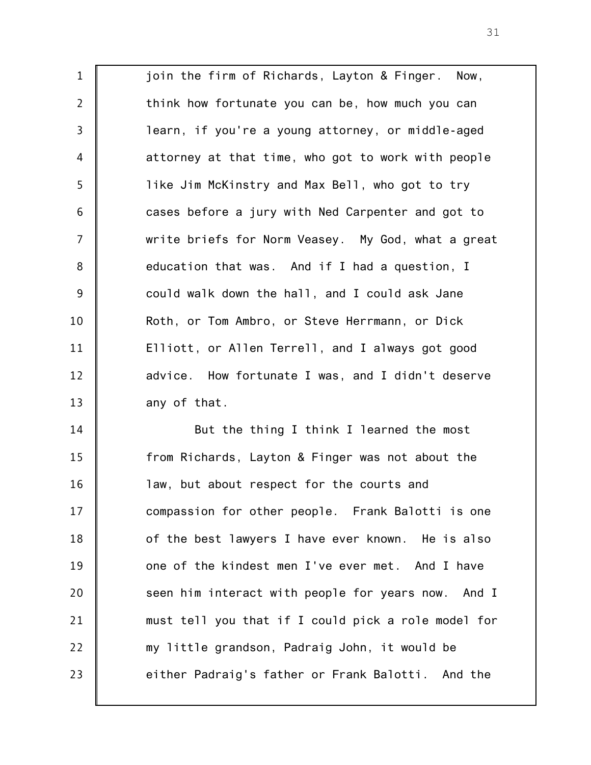1 2 3 4 5 6 7 8 9 10 11 12 13 join the firm of Richards, Layton & Finger. Now, think how fortunate you can be, how much you can learn, if you're a young attorney, or middle-aged attorney at that time, who got to work with people like Jim McKinstry and Max Bell, who got to try cases before a jury with Ned Carpenter and got to write briefs for Norm Veasey. My God, what a great education that was. And if I had a question, I could walk down the hall, and I could ask Jane Roth, or Tom Ambro, or Steve Herrmann, or Dick Elliott, or Allen Terrell, and I always got good advice. How fortunate I was, and I didn't deserve any of that.

14 15 16 17 18 19 20 21 22 23 But the thing I think I learned the most from Richards, Layton & Finger was not about the law, but about respect for the courts and compassion for other people. Frank Balotti is one of the best lawyers I have ever known. He is also one of the kindest men I've ever met. And I have seen him interact with people for years now. And I must tell you that if I could pick a role model for my little grandson, Padraig John, it would be either Padraig's father or Frank Balotti. And the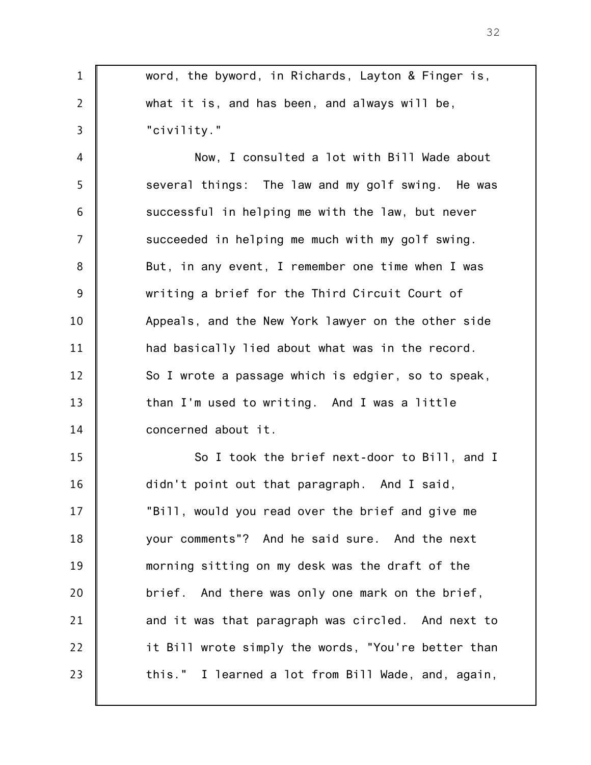word, the byword, in Richards, Layton & Finger is, what it is, and has been, and always will be, "civility."

1

2

3

4 5 6 7 8 9 10 11 12 13 14 Now, I consulted a lot with Bill Wade about several things: The law and my golf swing. He was successful in helping me with the law, but never succeeded in helping me much with my golf swing. But, in any event, I remember one time when I was writing a brief for the Third Circuit Court of Appeals, and the New York lawyer on the other side had basically lied about what was in the record. So I wrote a passage which is edgier, so to speak, than I'm used to writing. And I was a little concerned about it.

15 16 17 18 19 20 21 22 23 So I took the brief next-door to Bill, and I didn't point out that paragraph. And I said, "Bill, would you read over the brief and give me your comments"? And he said sure. And the next morning sitting on my desk was the draft of the brief. And there was only one mark on the brief, and it was that paragraph was circled. And next to it Bill wrote simply the words, "You're better than this." I learned a lot from Bill Wade, and, again,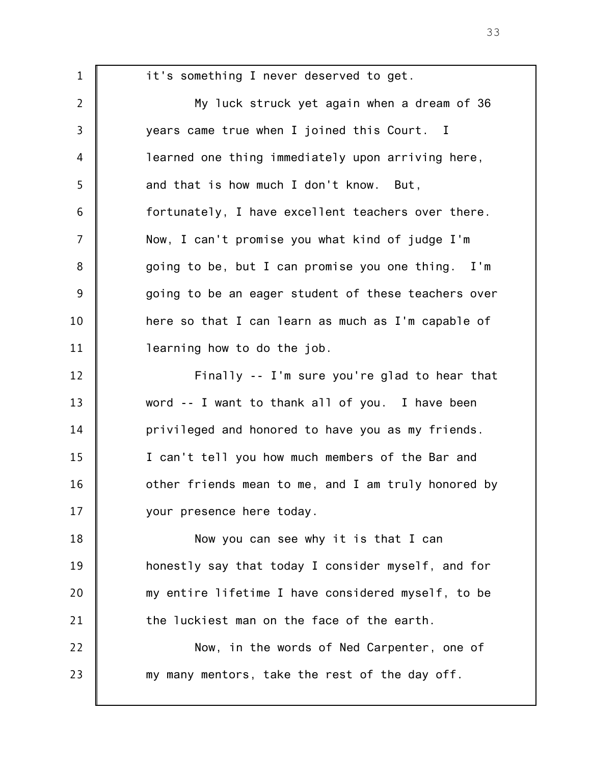1 2 3 4 5 6 7 8 9 10 11 12 13 14 15 16 17 18 19 20 21 22 23 it's something I never deserved to get. My luck struck yet again when a dream of 36 years came true when I joined this Court. I learned one thing immediately upon arriving here, and that is how much I don't know. But, fortunately, I have excellent teachers over there. Now, I can't promise you what kind of judge I'm going to be, but I can promise you one thing. I'm going to be an eager student of these teachers over here so that I can learn as much as I'm capable of learning how to do the job. Finally -- I'm sure you're glad to hear that word -- I want to thank all of you. I have been privileged and honored to have you as my friends. I can't tell you how much members of the Bar and other friends mean to me, and I am truly honored by your presence here today. Now you can see why it is that I can honestly say that today I consider myself, and for my entire lifetime I have considered myself, to be the luckiest man on the face of the earth. Now, in the words of Ned Carpenter, one of my many mentors, take the rest of the day off.